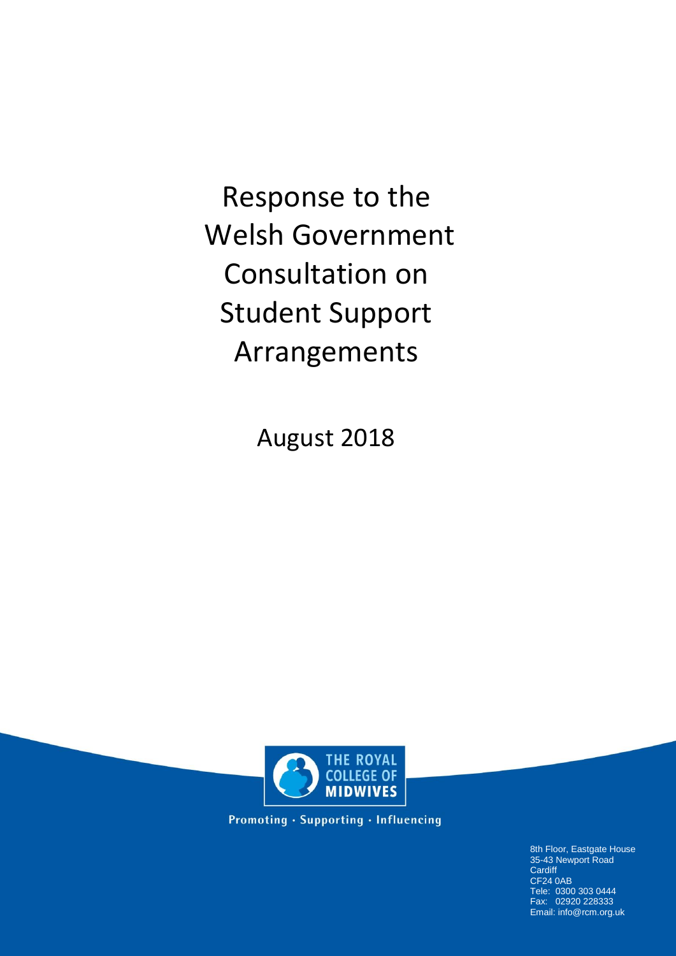Response to the Welsh Government Consultation on Student Support Arrangements

August 2018



**Promoting · Supporting · Influencing** 

8th Floor, Eastgate House 35-43 Newport Road **Cardiff** CF24 0AB Tele: 0300 303 0444 Fax: 02920 228333 Email: info@rcm.org.uk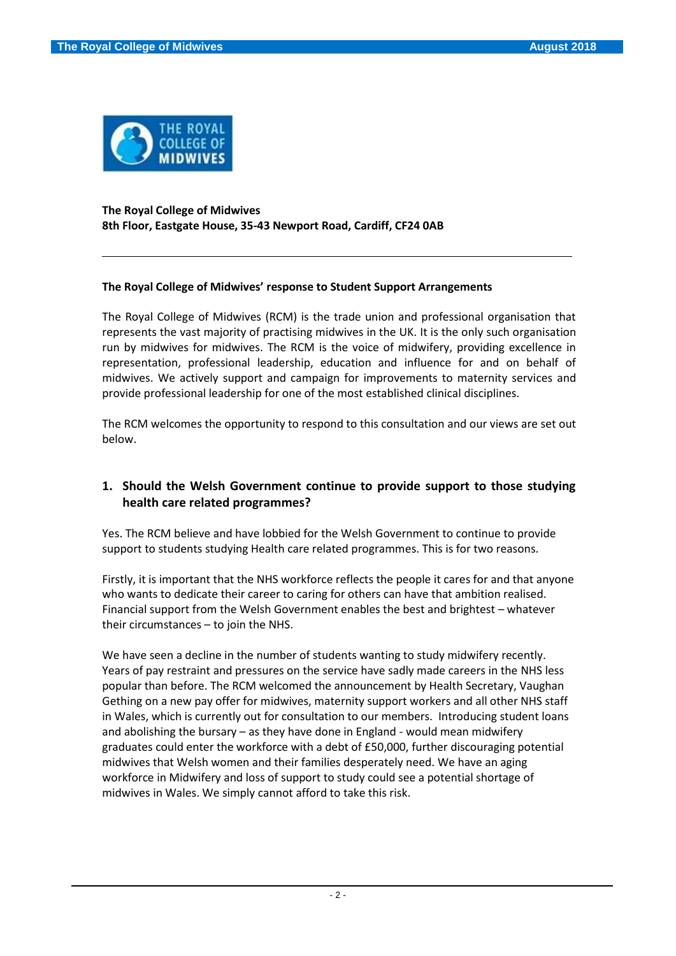

#### **The Royal College of Midwives 8th Floor, Eastgate House, 35-43 Newport Road, Cardiff, CF24 0AB**

#### **The Royal College of Midwives' response to Student Support Arrangements**

The Royal College of Midwives (RCM) is the trade union and professional organisation that represents the vast majority of practising midwives in the UK. It is the only such organisation run by midwives for midwives. The RCM is the voice of midwifery, providing excellence in representation, professional leadership, education and influence for and on behalf of midwives. We actively support and campaign for improvements to maternity services and provide professional leadership for one of the most established clinical disciplines.

The RCM welcomes the opportunity to respond to this consultation and our views are set out below.

### **1. Should the Welsh Government continue to provide support to those studying health care related programmes?**

Yes. The RCM believe and have lobbied for the Welsh Government to continue to provide support to students studying Health care related programmes. This is for two reasons.

Firstly, it is important that the NHS workforce reflects the people it cares for and that anyone who wants to dedicate their career to caring for others can have that ambition realised. Financial support from the Welsh Government enables the best and brightest – whatever their circumstances – to join the NHS.

We have seen a decline in the number of students wanting to study midwifery recently. Years of pay restraint and pressures on the service have sadly made careers in the NHS less popular than before. The RCM welcomed the announcement by Health Secretary, Vaughan Gething on a new pay offer for midwives, maternity support workers and all other NHS staff in Wales, which is currently out for consultation to our members. Introducing student loans and abolishing the bursary – as they have done in England - would mean midwifery graduates could enter the workforce with a debt of £50,000, further discouraging potential midwives that Welsh women and their families desperately need. We have an aging workforce in Midwifery and loss of support to study could see a potential shortage of midwives in Wales. We simply cannot afford to take this risk.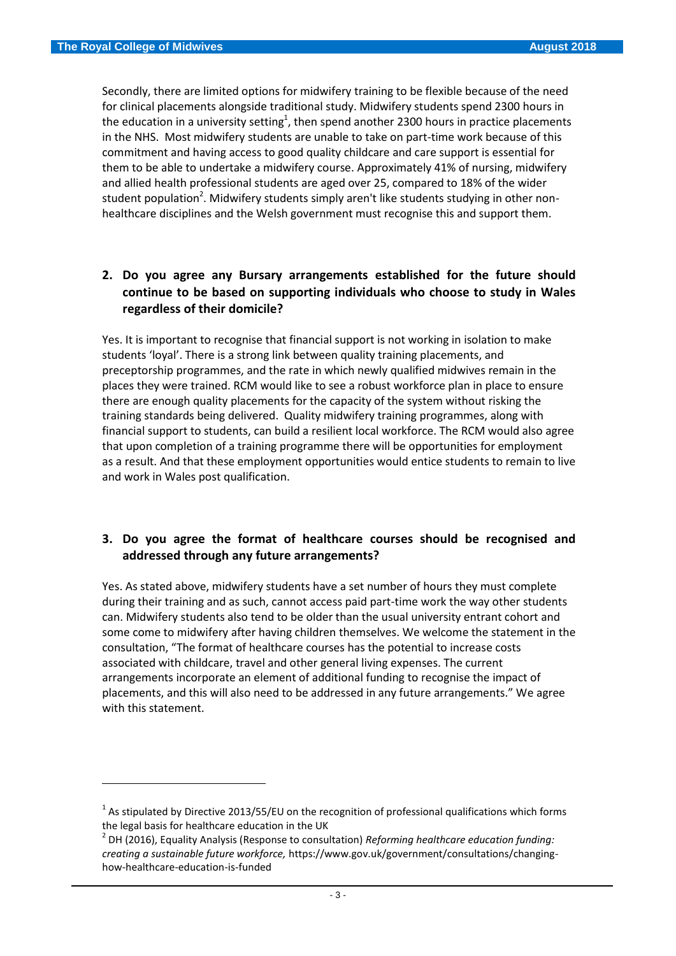**.** 

Secondly, there are limited options for midwifery training to be flexible because of the need for clinical placements alongside traditional study. Midwifery students spend 2300 hours in the education in a university setting<sup>1</sup>, then spend another 2300 hours in practice placements in the NHS. Most midwifery students are unable to take on part-time work because of this commitment and having access to good quality childcare and care support is essential for them to be able to undertake a midwifery course. Approximately 41% of nursing, midwifery and allied health professional students are aged over 25, compared to 18% of the wider student population<sup>2</sup>. Midwifery students simply aren't like students studying in other nonhealthcare disciplines and the Welsh government must recognise this and support them.

## **2. Do you agree any Bursary arrangements established for the future should continue to be based on supporting individuals who choose to study in Wales regardless of their domicile?**

Yes. It is important to recognise that financial support is not working in isolation to make students 'loyal'. There is a strong link between quality training placements, and preceptorship programmes, and the rate in which newly qualified midwives remain in the places they were trained. RCM would like to see a robust workforce plan in place to ensure there are enough quality placements for the capacity of the system without risking the training standards being delivered. Quality midwifery training programmes, along with financial support to students, can build a resilient local workforce. The RCM would also agree that upon completion of a training programme there will be opportunities for employment as a result. And that these employment opportunities would entice students to remain to live and work in Wales post qualification.

### **3. Do you agree the format of healthcare courses should be recognised and addressed through any future arrangements?**

Yes. As stated above, midwifery students have a set number of hours they must complete during their training and as such, cannot access paid part-time work the way other students can. Midwifery students also tend to be older than the usual university entrant cohort and some come to midwifery after having children themselves. We welcome the statement in the consultation, "The format of healthcare courses has the potential to increase costs associated with childcare, travel and other general living expenses. The current arrangements incorporate an element of additional funding to recognise the impact of placements, and this will also need to be addressed in any future arrangements." We agree with this statement.

 $^{1}$  As stipulated by Directive 2013/55/EU on the recognition of professional qualifications which forms the legal basis for healthcare education in the UK

<sup>2</sup> DH (2016), Equality Analysis (Response to consultation) *Reforming healthcare education funding: creating a sustainable future workforce,* https://www.gov.uk/government/consultations/changinghow-healthcare-education-is-funded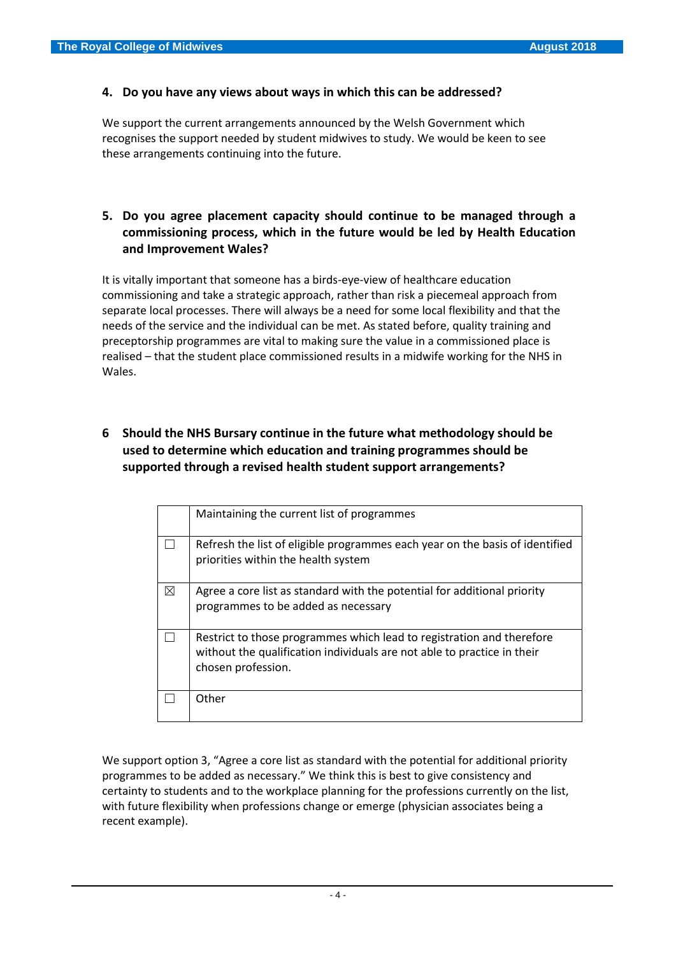#### **4. Do you have any views about ways in which this can be addressed?**

We support the current arrangements announced by the Welsh Government which recognises the support needed by student midwives to study. We would be keen to see these arrangements continuing into the future.

# **5. Do you agree placement capacity should continue to be managed through a commissioning process, which in the future would be led by Health Education and Improvement Wales?**

It is vitally important that someone has a birds-eye-view of healthcare education commissioning and take a strategic approach, rather than risk a piecemeal approach from separate local processes. There will always be a need for some local flexibility and that the needs of the service and the individual can be met. As stated before, quality training and preceptorship programmes are vital to making sure the value in a commissioned place is realised – that the student place commissioned results in a midwife working for the NHS in Wales.

## **6 Should the NHS Bursary continue in the future what methodology should be used to determine which education and training programmes should be supported through a revised health student support arrangements?**

|   | Maintaining the current list of programmes                                                                                                                             |
|---|------------------------------------------------------------------------------------------------------------------------------------------------------------------------|
|   | Refresh the list of eligible programmes each year on the basis of identified<br>priorities within the health system                                                    |
| ⊠ | Agree a core list as standard with the potential for additional priority<br>programmes to be added as necessary                                                        |
|   | Restrict to those programmes which lead to registration and therefore<br>without the qualification individuals are not able to practice in their<br>chosen profession. |
|   | Other                                                                                                                                                                  |

We support option 3, "Agree a core list as standard with the potential for additional priority programmes to be added as necessary." We think this is best to give consistency and certainty to students and to the workplace planning for the professions currently on the list, with future flexibility when professions change or emerge (physician associates being a recent example).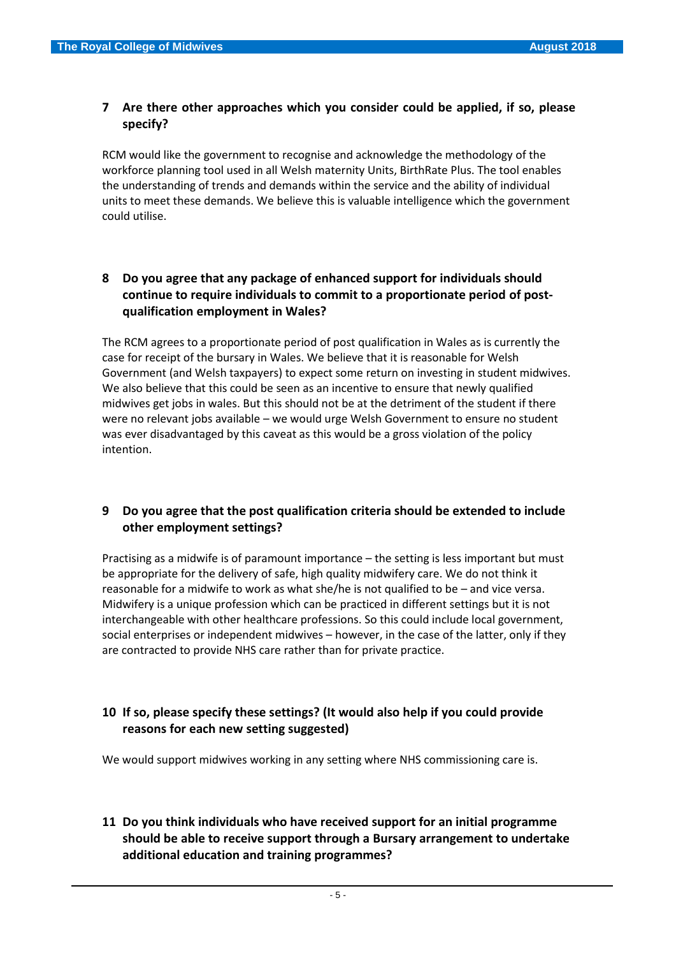### **7 Are there other approaches which you consider could be applied, if so, please specify?**

RCM would like the government to recognise and acknowledge the methodology of the workforce planning tool used in all Welsh maternity Units, BirthRate Plus. The tool enables the understanding of trends and demands within the service and the ability of individual units to meet these demands. We believe this is valuable intelligence which the government could utilise.

# **8 Do you agree that any package of enhanced support for individuals should continue to require individuals to commit to a proportionate period of postqualification employment in Wales?**

The RCM agrees to a proportionate period of post qualification in Wales as is currently the case for receipt of the bursary in Wales. We believe that it is reasonable for Welsh Government (and Welsh taxpayers) to expect some return on investing in student midwives. We also believe that this could be seen as an incentive to ensure that newly qualified midwives get jobs in wales. But this should not be at the detriment of the student if there were no relevant jobs available – we would urge Welsh Government to ensure no student was ever disadvantaged by this caveat as this would be a gross violation of the policy intention.

# **9 Do you agree that the post qualification criteria should be extended to include other employment settings?**

Practising as a midwife is of paramount importance – the setting is less important but must be appropriate for the delivery of safe, high quality midwifery care. We do not think it reasonable for a midwife to work as what she/he is not qualified to be – and vice versa. Midwifery is a unique profession which can be practiced in different settings but it is not interchangeable with other healthcare professions. So this could include local government, social enterprises or independent midwives – however, in the case of the latter, only if they are contracted to provide NHS care rather than for private practice.

# **10 If so, please specify these settings? (It would also help if you could provide reasons for each new setting suggested)**

We would support midwives working in any setting where NHS commissioning care is.

# **11 Do you think individuals who have received support for an initial programme should be able to receive support through a Bursary arrangement to undertake additional education and training programmes?**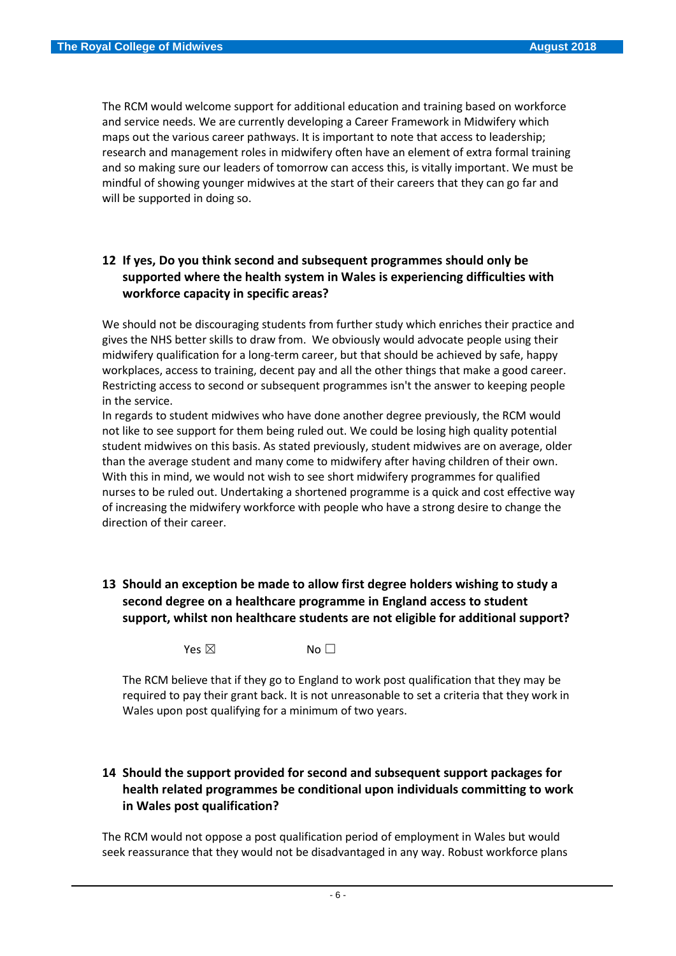The RCM would welcome support for additional education and training based on workforce and service needs. We are currently developing a Career Framework in Midwifery which maps out the various career pathways. It is important to note that access to leadership; research and management roles in midwifery often have an element of extra formal training and so making sure our leaders of tomorrow can access this, is vitally important. We must be mindful of showing younger midwives at the start of their careers that they can go far and will be supported in doing so.

# **12 If yes, Do you think second and subsequent programmes should only be supported where the health system in Wales is experiencing difficulties with workforce capacity in specific areas?**

We should not be discouraging students from further study which enriches their practice and gives the NHS better skills to draw from. We obviously would advocate people using their midwifery qualification for a long-term career, but that should be achieved by safe, happy workplaces, access to training, decent pay and all the other things that make a good career. Restricting access to second or subsequent programmes isn't the answer to keeping people in the service.

In regards to student midwives who have done another degree previously, the RCM would not like to see support for them being ruled out. We could be losing high quality potential student midwives on this basis. As stated previously, student midwives are on average, older than the average student and many come to midwifery after having children of their own. With this in mind, we would not wish to see short midwifery programmes for qualified nurses to be ruled out. Undertaking a shortened programme is a quick and cost effective way of increasing the midwifery workforce with people who have a strong desire to change the direction of their career.

# **13 Should an exception be made to allow first degree holders wishing to study a second degree on a healthcare programme in England access to student support, whilst non healthcare students are not eligible for additional support?**

Yes  $\boxtimes$  No  $\Box$ 

The RCM believe that if they go to England to work post qualification that they may be required to pay their grant back. It is not unreasonable to set a criteria that they work in Wales upon post qualifying for a minimum of two years.

## **14 Should the support provided for second and subsequent support packages for health related programmes be conditional upon individuals committing to work in Wales post qualification?**

The RCM would not oppose a post qualification period of employment in Wales but would seek reassurance that they would not be disadvantaged in any way. Robust workforce plans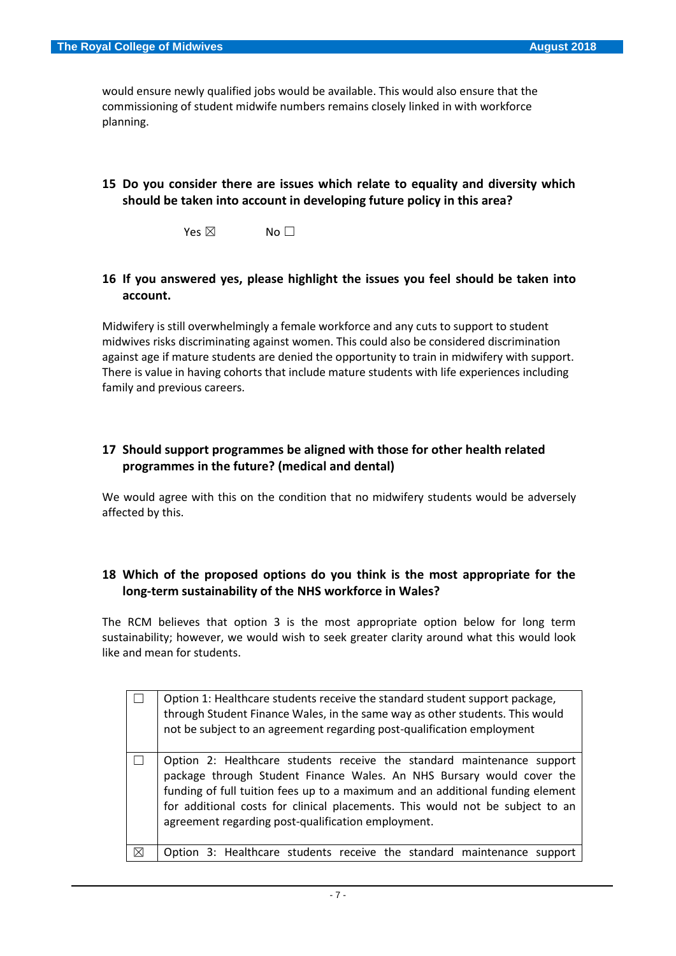would ensure newly qualified jobs would be available. This would also ensure that the commissioning of student midwife numbers remains closely linked in with workforce planning.

### **15 Do you consider there are issues which relate to equality and diversity which should be taken into account in developing future policy in this area?**

 $Yes \boxtimes$  No  $\Box$ 

#### **16 If you answered yes, please highlight the issues you feel should be taken into account.**

Midwifery is still overwhelmingly a female workforce and any cuts to support to student midwives risks discriminating against women. This could also be considered discrimination against age if mature students are denied the opportunity to train in midwifery with support. There is value in having cohorts that include mature students with life experiences including family and previous careers.

# **17 Should support programmes be aligned with those for other health related programmes in the future? (medical and dental)**

We would agree with this on the condition that no midwifery students would be adversely affected by this.

### **18 Which of the proposed options do you think is the most appropriate for the long-term sustainability of the NHS workforce in Wales?**

The RCM believes that option 3 is the most appropriate option below for long term sustainability; however, we would wish to seek greater clarity around what this would look like and mean for students.

|   | Option 1: Healthcare students receive the standard student support package,<br>through Student Finance Wales, in the same way as other students. This would<br>not be subject to an agreement regarding post-qualification employment                                                                                                                                    |  |
|---|--------------------------------------------------------------------------------------------------------------------------------------------------------------------------------------------------------------------------------------------------------------------------------------------------------------------------------------------------------------------------|--|
|   | Option 2: Healthcare students receive the standard maintenance support<br>package through Student Finance Wales. An NHS Bursary would cover the<br>funding of full tuition fees up to a maximum and an additional funding element<br>for additional costs for clinical placements. This would not be subject to an<br>agreement regarding post-qualification employment. |  |
| ⊠ | Option 3: Healthcare students receive the standard maintenance support                                                                                                                                                                                                                                                                                                   |  |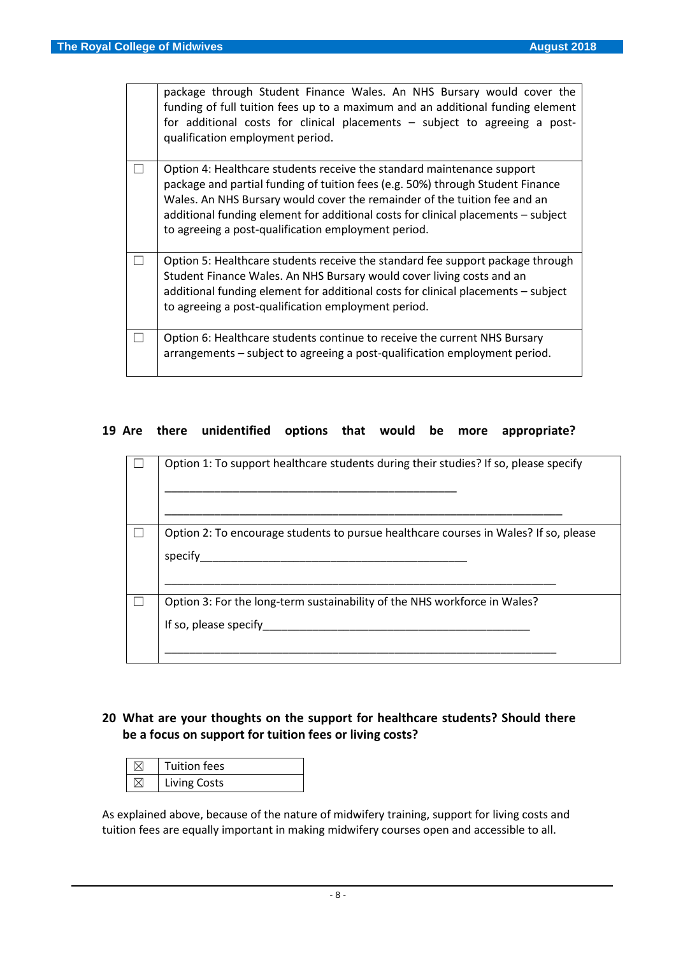| package through Student Finance Wales. An NHS Bursary would cover the<br>funding of full tuition fees up to a maximum and an additional funding element<br>for additional costs for clinical placements - subject to agreeing a post-<br>qualification employment period.                                                                                                         |
|-----------------------------------------------------------------------------------------------------------------------------------------------------------------------------------------------------------------------------------------------------------------------------------------------------------------------------------------------------------------------------------|
| Option 4: Healthcare students receive the standard maintenance support<br>package and partial funding of tuition fees (e.g. 50%) through Student Finance<br>Wales. An NHS Bursary would cover the remainder of the tuition fee and an<br>additional funding element for additional costs for clinical placements - subject<br>to agreeing a post-qualification employment period. |
| Option 5: Healthcare students receive the standard fee support package through<br>Student Finance Wales. An NHS Bursary would cover living costs and an<br>additional funding element for additional costs for clinical placements - subject<br>to agreeing a post-qualification employment period.                                                                               |
| Option 6: Healthcare students continue to receive the current NHS Bursary<br>arrangements – subject to agreeing a post-qualification employment period.                                                                                                                                                                                                                           |

#### **19 Are there unidentified options that would be more appropriate?**

| Option 1: To support healthcare students during their studies? If so, please specify               |
|----------------------------------------------------------------------------------------------------|
| Option 2: To encourage students to pursue healthcare courses in Wales? If so, please<br>specify    |
| Option 3: For the long-term sustainability of the NHS workforce in Wales?<br>If so, please specify |

# **20 What are your thoughts on the support for healthcare students? Should there be a focus on support for tuition fees or living costs?**

| <b>Tuition fees</b> |
|---------------------|
| <b>Living Costs</b> |

As explained above, because of the nature of midwifery training, support for living costs and tuition fees are equally important in making midwifery courses open and accessible to all.